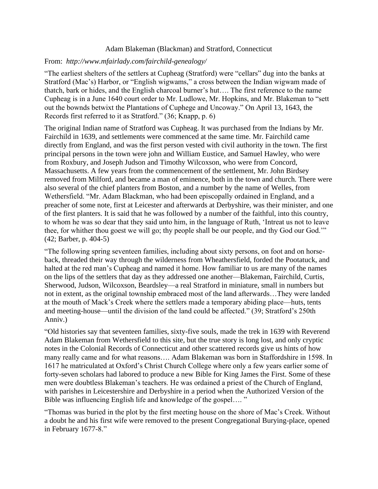## Adam Blakeman (Blackman) and Stratford, Connecticut

## From: *<http://www.mfairlady.com/fairchild-genealogy/>*

"The earliest shelters of the settlers at [Cupheag](https://connecticut.hometownlocator.com/maps/feature-map,ftc,3,fid,1941957,n,cupheag.cfm) (Stratford) were "cellars" dug into the banks at Stratford (Mac's) Harbor, or "English wigwams," a cross between the Indian wigwam made of thatch, bark or hides, and the English charcoal burner's hut…. The first reference to the name Cupheag is in a June 1640 court order to Mr. Ludlowe, Mr. Hopkins, and Mr. Blakeman to "sett out the bownds betwixt the Plantations of Cuphege and Uncoway." On April 13, 1643, the Records first referred to it as Stratford." (36; Knapp, p. 6)

The original Indian name of Stratford was Cupheag. It was purchased from the Indians by Mr. Fairchild in 1639, and settlements were commenced at the same time. Mr. Fairchild came directly from England, and was the first person vested with civil authority in the town. The first principal persons in the town were john and William Eustice, and Samuel Hawley, who were from Roxbury, and Joseph Judson and Timothy Wilcoxson, who were from Concord, Massachusetts. A few years from the commencement of the settlement, Mr. John Birdsey removed from Milford, and became a man of eminence, both in the town and church. There were also several of the chief planters from Boston, and a number by the name of Welles, from Wethersfield. "Mr. Adam Blackman, who had been episcopally ordained in England, and a preacher of some note, first at Leicester and afterwards at Derbyshire, was their minister, and one of the first planters. It is said that he was followed by a number of the faithful, into this country, to whom he was so dear that they said unto him, in the language of Ruth, 'Intreat us not to leave thee, for whither thou goest we will go; thy people shall be our people, and thy God our God.'" (42; Barber, p. 404-5)

"The following spring seventeen families, including about sixty persons, on foot and on horseback, threaded their way through the wilderness from Wheathersfield, forded the Pootatuck, and halted at the red man's Cupheag and named it home. How familiar to us are many of the names on the lips of the settlers that day as they addressed one another—Blakeman, Fairchild, Curtis, Sherwood, Judson, Wilcoxson, Beardsley—a real Stratford in miniature, small in numbers but not in extent, as the original township embraced most of the land afterwards…They were landed at the mouth of Mack's Creek where the settlers made a temporary abiding place—huts, tents and meeting-house—until the division of the land could be affected." (39; Stratford's 250th Anniv.)

"Old histories say that seventeen families, sixty-five souls, made the trek in 1639 with Reverend Adam Blakeman from Wethersfield to this site, but the true story is long lost, and only cryptic notes in the Colonial Records of Connecticut and other scattered records give us hints of how many really came and for what reasons…. Adam Blakeman was born in Staffordshire in 1598. In 1617 he matriculated at Oxford's Christ Church College where only a few years earlier some of forty-seven scholars had labored to produce a new Bible for King James the First. Some of these men were doubtless Blakeman's teachers. He was ordained a priest of the Church of England, with parishes in Leicestershire and Derbyshire in a period when the Authorized Version of the Bible was influencing English life and knowledge of the gospel…. "

"Thomas was buried in the plot by the first meeting house on the shore of Mac's Creek. Without a doubt he and his first wife were removed to the present Congregational Burying-place, opened in February 1677-8."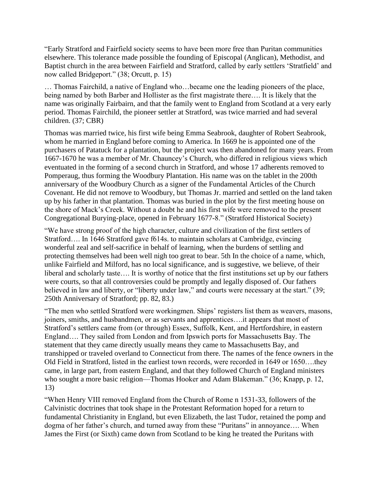"Early Stratford and Fairfield society seems to have been more free than Puritan communities elsewhere. This tolerance made possible the founding of Episcopal (Anglican), Methodist, and Baptist church in the area between Fairfield and Stratford, called by early settlers 'Stratfield' and now called Bridgeport." (38; Orcutt, p. 15)

… Thomas Fairchild, a native of England who…became one the leading pioneers of the place, being named by both Barber and Hollister as the first magistrate there…. It is likely that the name was originally Fairbairn, and that the family went to England from Scotland at a very early period. Thomas Fairchild, the pioneer settler at Stratford, was twice married and had several children. (37; CBR)

Thomas was married twice, his first wife being Emma Seabrook, daughter of Robert Seabrook, whom he married in England before coming to America. In 1669 he is appointed one of the purchasers of Patatuck for a plantation, but the project was then abandoned for many years. From 1667-1670 he was a member of Mr. Chauncey's Church, who differed in religious views which eventuated in the forming of a second church in Stratford, and whose 17 adherents removed to Pomperaug, thus forming the Woodbury Plantation. His name was on the tablet in the 200th anniversary of the Woodbury Church as a signer of the Fundamental Articles of the Church Covenant. He did not remove to Woodbury, but Thomas Jr. married and settled on the land taken up by his father in that plantation. Thomas was buried in the plot by the first meeting house on the shore of Mack's Creek. Without a doubt he and his first wife were removed to the present Congregational Burying-place, opened in February 1677-8." (Stratford Historical Society)

"We have strong proof of the high character, culture and civilization of the first settlers of Stratford…. In 1646 Stratford gave f614s. to maintain scholars at Cambridge, evincing wonderful zeal and self-sacrifice in behalf of learning, when the burdens of settling and protecting themselves had been well nigh too great to bear. 5th In the choice of a name, which, unlike Fairfield and Milford, has no local significance, and is suggestive, we believe, of their liberal and scholarly taste…. It is worthy of notice that the first institutions set up by our fathers were courts, so that all controversies could be promptly and legally disposed of. Our fathers believed in law and liberty, or "liberty under law," and courts were necessary at the start." (39; 250th Anniversary of Stratford; pp. 82, 83.)

"The men who settled Stratford were workingmen. Ships' registers list them as weavers, masons, joiners, smiths, and husbandmen, or as servants and apprentices….it appears that most of Stratford's settlers came from (or through) Essex, Suffolk, Kent, and Hertfordshire, in eastern England…. They sailed from London and from Ipswich ports for Massachusetts Bay. The statement that they came directly usually means they came to Massachusetts Bay, and transhipped or traveled overland to Connecticut from there. The names of the fence owners in the Old Field in Stratford, listed in the earliest town records, were recorded in 1649 or 1650….they came, in large part, from eastern England, and that they followed Church of England ministers who sought a more basic religion—Thomas Hooker and Adam Blakeman." (36; Knapp, p. 12, 13)

"When Henry VIII removed England from the Church of Rome n 1531-33, followers of the Calvinistic doctrines that took shape in the Protestant Reformation hoped for a return to fundamental Christianity in England, but even Elizabeth, the last Tudor, retained the pomp and dogma of her father's church, and turned away from these "Puritans" in annoyance…. When James the First (or Sixth) came down from Scotland to be king he treated the Puritans with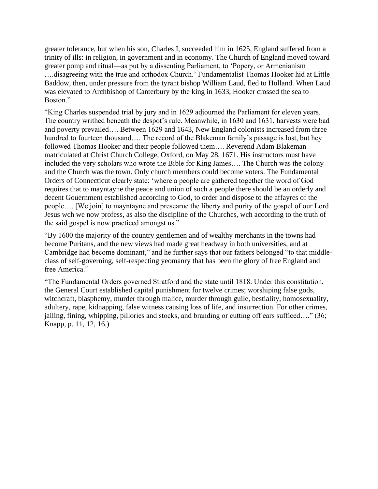greater tolerance, but when his son, Charles I, succeeded him in 1625, England suffered from a trinity of ills: in religion, in government and in economy. The Church of England moved toward greater pomp and ritual—as put by a dissenting Parliament, to 'Popery, or Armenianism ….disagreeing with the true and orthodox Church.' Fundamentalist Thomas Hooker hid at Little Baddow, then, under pressure from the tyrant bishop William Laud, fled to Holland. When Laud was elevated to Archbishop of Canterbury by the king in 1633, Hooker crossed the sea to Boston."

"King Charles suspended trial by jury and in 1629 adjourned the Parliament for eleven years. The country writhed beneath the despot's rule. Meanwhile, in 1630 and 1631, harvests were bad and poverty prevailed…. Between 1629 and 1643, New England colonists increased from three hundred to fourteen thousand.... The record of the Blakeman family's passage is lost, but hey followed Thomas Hooker and their people followed them…. Reverend Adam Blakeman matriculated at Christ Church College, Oxford, on May 28, 1671. His instructors must have included the very scholars who wrote the Bible for King James…. The Church was the colony and the Church was the town. Only church members could become voters. The Fundamental Orders of Connecticut clearly state: 'where a people are gathered together the word of God requires that to mayntayne the peace and union of such a people there should be an orderly and decent Gouernment established according to God, to order and dispose to the affayres of the people…. [We join] to mayntayne and presearue the liberty and purity of the gospel of our Lord Jesus wch we now profess, as also the discipline of the Churches, wch according to the truth of the said gospel is now practiced amongst us."

"By 1600 the majority of the country gentlemen and of wealthy merchants in the towns had become Puritans, and the new views had made great headway in both universities, and at Cambridge had become dominant," and he further says that our fathers belonged "to that middleclass of self-governing, self-respecting yeomanry that has been the glory of free England and free America."

"The Fundamental Orders governed Stratford and the state until 1818. Under this constitution, the General Court established capital punishment for twelve crimes; worshiping false gods, witchcraft, blasphemy, murder through malice, murder through guile, bestiality, homosexuality, adultery, rape, kidnapping, false witness causing loss of life, and insurrection. For other crimes, jailing, fining, whipping, pillories and stocks, and branding or cutting off ears sufficed…." (36; Knapp, p. 11, 12, 16.)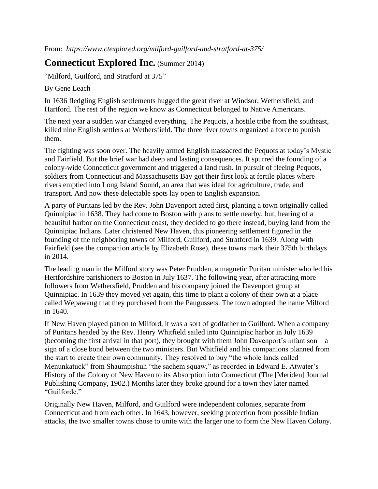From: *<https://www.ctexplored.org/milford-guilford-and-stratford-at-375/>*

## **Connecticut Explored Inc.** [\(Summer 2014\)](https://www.ctexplored.org/shop/summer-2014-vol-12-no-3/)

"Milford, Guilford, and Stratford at 375"

By Gene Leach

In 1636 fledgling English settlements hugged the great river at Windsor, Wethersfield, and Hartford. The rest of the region we know as Connecticut belonged to Native Americans.

The next year a sudden war changed everything. The Pequots, a hostile tribe from the southeast, killed nine English settlers at Wethersfield. The three river towns organized a force to punish them.

The fighting was soon over. The heavily armed English massacred the Pequots at today's Mystic and Fairfield. But the brief war had deep and lasting consequences. It spurred the founding of a colony-wide Connecticut government and triggered a land rush. In pursuit of fleeing Pequots, soldiers from Connecticut and Massachusetts Bay got their first look at fertile places where rivers emptied into Long Island Sound, an area that was ideal for agriculture, trade, and transport. And now these delectable spots lay open to English expansion.

A party of Puritans led by the Rev. John Davenport acted first, planting a town originally called Quinnipiac in 1638. They had come to Boston with plans to settle nearby, but, hearing of a beautiful harbor on the Connecticut coast, they decided to go there instead, buying land from the Quinnipiac Indians. Later christened New Haven, this pioneering settlement figured in the founding of the neighboring towns of Milford, Guilford, and Stratford in 1639. Along with Fairfield (see the companion article by Elizabeth Rose), these towns mark their 375th birthdays in 2014.

The leading man in the Milford story was Peter Prudden, a magnetic Puritan minister who led his Hertfordshire parishioners to Boston in July 1637. The following year, after attracting more followers from Wethersfield, Prudden and his company joined the Davenport group at Quinnipiac. In 1639 they moved yet again, this time to plant a colony of their own at a place called Wepawaug that they purchased from the Paugussets. The town adopted the name Milford in 1640.

If New Haven played patron to Milford, it was a sort of godfather to Guilford. When a company of Puritans headed by the Rev. Henry Whitfield sailed into Quinnipiac harbor in July 1639 (becoming the first arrival in that port), they brought with them John Davenport's infant son—a sign of a close bond between the two ministers. But Whitfield and his companions planned from the start to create their own community. They resolved to buy "the whole lands called Menunkatuck" from Shaumpishuh "the sachem squaw," as recorded in Edward E. Atwater's History of the Colony of New Haven to its Absorption into Connecticut (The [Meriden] Journal Publishing Company, 1902.) Months later they broke ground for a town they later named "Guilforde."

Originally New Haven, Milford, and Guilford were independent colonies, separate from Connecticut and from each other. In 1643, however, seeking protection from possible Indian attacks, the two smaller towns chose to unite with the larger one to form the New Haven Colony.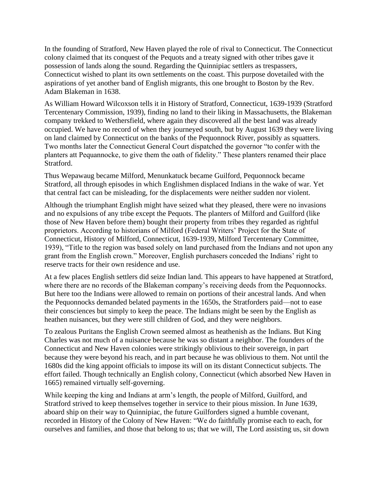In the founding of Stratford, New Haven played the role of rival to Connecticut. The Connecticut colony claimed that its conquest of the Pequots and a treaty signed with other tribes gave it possession of lands along the sound. Regarding the Quinnipiac settlers as trespassers, Connecticut wished to plant its own settlements on the coast. This purpose dovetailed with the aspirations of yet another band of English migrants, this one brought to Boston by the Rev. Adam Blakeman in 1638.

As William Howard Wilcoxson tells it in History of Stratford, Connecticut, 1639-1939 (Stratford Tercentenary Commission, 1939), finding no land to their liking in Massachusetts, the Blakeman company trekked to Wethersfield, where again they discovered all the best land was already occupied. We have no record of when they journeyed south, but by August 1639 they were living on land claimed by Connecticut on the banks of the Pequonnock River, possibly as squatters. Two months later the Connecticut General Court dispatched the governor "to confer with the planters att Pequannocke, to give them the oath of fidelity." These planters renamed their place Stratford.

Thus Wepawaug became Milford, Menunkatuck became Guilford, Pequonnock became Stratford, all through episodes in which Englishmen displaced Indians in the wake of war. Yet that central fact can be misleading, for the displacements were neither sudden nor violent.

Although the triumphant English might have seized what they pleased, there were no invasions and no expulsions of any tribe except the Pequots. The planters of Milford and Guilford (like those of New Haven before them) bought their property from tribes they regarded as rightful proprietors. According to historians of Milford (Federal Writers' Project for the State of Connecticut, History of Milford, Connecticut, 1639-1939, Milford Tercentenary Committee, 1939), "Title to the region was based solely on land purchased from the Indians and not upon any grant from the English crown." Moreover, English purchasers conceded the Indians' right to reserve tracts for their own residence and use.

At a few places English settlers did seize Indian land. This appears to have happened at Stratford, where there are no records of the Blakeman company's receiving deeds from the Pequonnocks. But here too the Indians were allowed to remain on portions of their ancestral lands. And when the Pequonnocks demanded belated payments in the 1650s, the Stratforders paid—not to ease their consciences but simply to keep the peace. The Indians might be seen by the English as heathen nuisances, but they were still children of God, and they were neighbors.

To zealous Puritans the English Crown seemed almost as heathenish as the Indians. But King Charles was not much of a nuisance because he was so distant a neighbor. The founders of the Connecticut and New Haven colonies were strikingly oblivious to their sovereign, in part because they were beyond his reach, and in part because he was oblivious to them. Not until the 1680s did the king appoint officials to impose its will on its distant Connecticut subjects. The effort failed. Though technically an English colony, Connecticut (which absorbed New Haven in 1665) remained virtually self-governing.

While keeping the king and Indians at arm's length, the people of Milford, Guilford, and Stratford strived to keep themselves together in service to their pious mission. In June 1639, aboard ship on their way to Quinnipiac, the future Guilforders signed a humble covenant, recorded in History of the Colony of New Haven: "We do faithfully promise each to each, for ourselves and families, and those that belong to us; that we will, The Lord assisting us, sit down